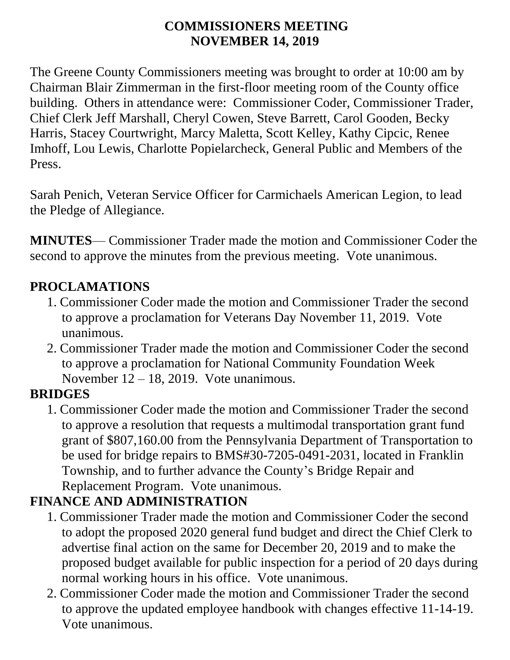#### **COMMISSIONERS MEETING NOVEMBER 14, 2019**

The Greene County Commissioners meeting was brought to order at 10:00 am by Chairman Blair Zimmerman in the first-floor meeting room of the County office building. Others in attendance were: Commissioner Coder, Commissioner Trader, Chief Clerk Jeff Marshall, Cheryl Cowen, Steve Barrett, Carol Gooden, Becky Harris, Stacey Courtwright, Marcy Maletta, Scott Kelley, Kathy Cipcic, Renee Imhoff, Lou Lewis, Charlotte Popielarcheck, General Public and Members of the Press.

Sarah Penich, Veteran Service Officer for Carmichaels American Legion, to lead the Pledge of Allegiance.

**MINUTES**— Commissioner Trader made the motion and Commissioner Coder the second to approve the minutes from the previous meeting. Vote unanimous.

#### **PROCLAMATIONS**

- 1. Commissioner Coder made the motion and Commissioner Trader the second to approve a proclamation for Veterans Day November 11, 2019. Vote unanimous.
- 2. Commissioner Trader made the motion and Commissioner Coder the second to approve a proclamation for National Community Foundation Week November 12 – 18, 2019. Vote unanimous.

### **BRIDGES**

1. Commissioner Coder made the motion and Commissioner Trader the second to approve a resolution that requests a multimodal transportation grant fund grant of \$807,160.00 from the Pennsylvania Department of Transportation to be used for bridge repairs to BMS#30-7205-0491-2031, located in Franklin Township, and to further advance the County's Bridge Repair and Replacement Program. Vote unanimous.

### **FINANCE AND ADMINISTRATION**

- 1. Commissioner Trader made the motion and Commissioner Coder the second to adopt the proposed 2020 general fund budget and direct the Chief Clerk to advertise final action on the same for December 20, 2019 and to make the proposed budget available for public inspection for a period of 20 days during normal working hours in his office. Vote unanimous.
- 2. Commissioner Coder made the motion and Commissioner Trader the second to approve the updated employee handbook with changes effective 11-14-19. Vote unanimous.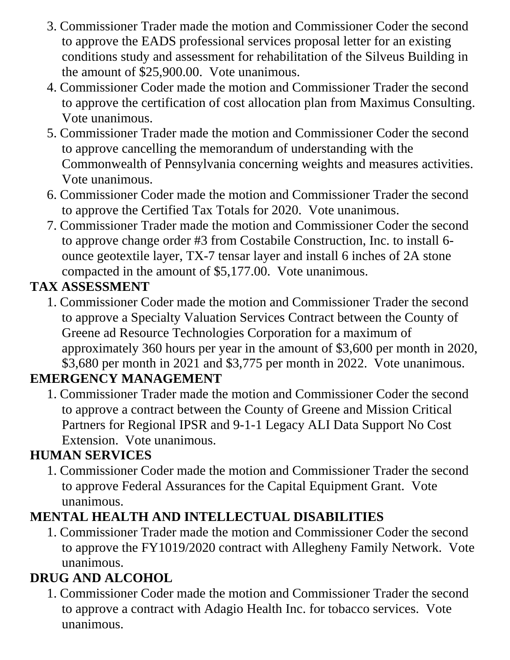- 3. Commissioner Trader made the motion and Commissioner Coder the second to approve the EADS professional services proposal letter for an existing conditions study and assessment for rehabilitation of the Silveus Building in the amount of \$25,900.00. Vote unanimous.
- 4. Commissioner Coder made the motion and Commissioner Trader the second to approve the certification of cost allocation plan from Maximus Consulting. Vote unanimous.
- 5. Commissioner Trader made the motion and Commissioner Coder the second to approve cancelling the memorandum of understanding with the Commonwealth of Pennsylvania concerning weights and measures activities. Vote unanimous.
- 6. Commissioner Coder made the motion and Commissioner Trader the second to approve the Certified Tax Totals for 2020. Vote unanimous.
- 7. Commissioner Trader made the motion and Commissioner Coder the second to approve change order #3 from Costabile Construction, Inc. to install 6 ounce geotextile layer, TX-7 tensar layer and install 6 inches of 2A stone compacted in the amount of \$5,177.00. Vote unanimous.

### **TAX ASSESSMENT**

1. Commissioner Coder made the motion and Commissioner Trader the second to approve a Specialty Valuation Services Contract between the County of Greene ad Resource Technologies Corporation for a maximum of approximately 360 hours per year in the amount of \$3,600 per month in 2020, \$3,680 per month in 2021 and \$3,775 per month in 2022. Vote unanimous.

### **EMERGENCY MANAGEMENT**

1. Commissioner Trader made the motion and Commissioner Coder the second to approve a contract between the County of Greene and Mission Critical Partners for Regional IPSR and 9-1-1 Legacy ALI Data Support No Cost Extension. Vote unanimous.

## **HUMAN SERVICES**

1. Commissioner Coder made the motion and Commissioner Trader the second to approve Federal Assurances for the Capital Equipment Grant. Vote unanimous.

## **MENTAL HEALTH AND INTELLECTUAL DISABILITIES**

1. Commissioner Trader made the motion and Commissioner Coder the second to approve the FY1019/2020 contract with Allegheny Family Network. Vote unanimous.

# **DRUG AND ALCOHOL**

1. Commissioner Coder made the motion and Commissioner Trader the second to approve a contract with Adagio Health Inc. for tobacco services. Vote unanimous.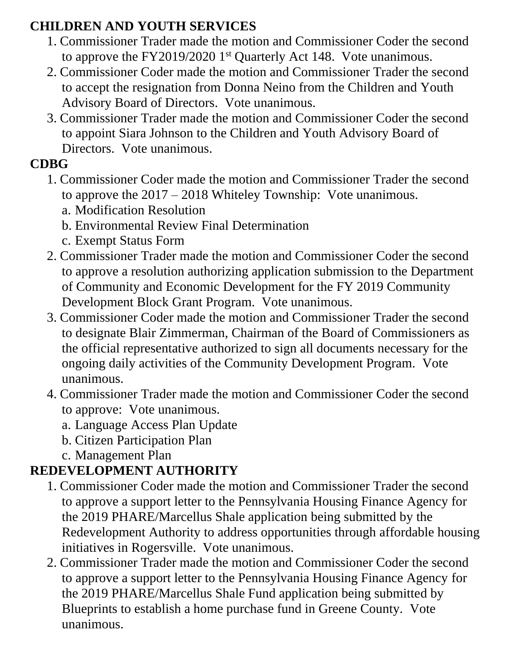#### **CHILDREN AND YOUTH SERVICES**

- 1. Commissioner Trader made the motion and Commissioner Coder the second to approve the FY2019/2020 1<sup>st</sup> Quarterly Act 148. Vote unanimous.
- 2. Commissioner Coder made the motion and Commissioner Trader the second to accept the resignation from Donna Neino from the Children and Youth Advisory Board of Directors. Vote unanimous.
- 3. Commissioner Trader made the motion and Commissioner Coder the second to appoint Siara Johnson to the Children and Youth Advisory Board of Directors. Vote unanimous.

### **CDBG**

- 1. Commissioner Coder made the motion and Commissioner Trader the second to approve the 2017 – 2018 Whiteley Township: Vote unanimous.
	- a. Modification Resolution
	- b. Environmental Review Final Determination
	- c. Exempt Status Form
- 2. Commissioner Trader made the motion and Commissioner Coder the second to approve a resolution authorizing application submission to the Department of Community and Economic Development for the FY 2019 Community Development Block Grant Program. Vote unanimous.
- 3. Commissioner Coder made the motion and Commissioner Trader the second to designate Blair Zimmerman, Chairman of the Board of Commissioners as the official representative authorized to sign all documents necessary for the ongoing daily activities of the Community Development Program. Vote unanimous.
- 4. Commissioner Trader made the motion and Commissioner Coder the second to approve: Vote unanimous.
	- a. Language Access Plan Update
	- b. Citizen Participation Plan
	- c. Management Plan

## **REDEVELOPMENT AUTHORITY**

- 1. Commissioner Coder made the motion and Commissioner Trader the second to approve a support letter to the Pennsylvania Housing Finance Agency for the 2019 PHARE/Marcellus Shale application being submitted by the Redevelopment Authority to address opportunities through affordable housing initiatives in Rogersville. Vote unanimous.
- 2. Commissioner Trader made the motion and Commissioner Coder the second to approve a support letter to the Pennsylvania Housing Finance Agency for the 2019 PHARE/Marcellus Shale Fund application being submitted by Blueprints to establish a home purchase fund in Greene County. Vote unanimous.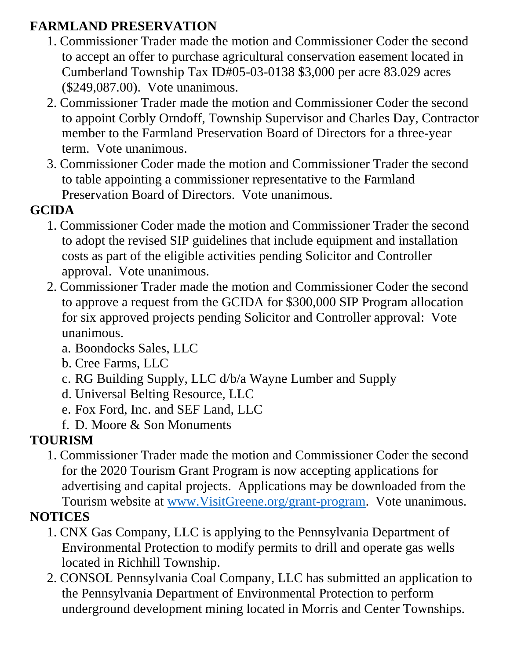### **FARMLAND PRESERVATION**

- 1. Commissioner Trader made the motion and Commissioner Coder the second to accept an offer to purchase agricultural conservation easement located in Cumberland Township Tax ID#05-03-0138 \$3,000 per acre 83.029 acres (\$249,087.00). Vote unanimous.
- 2. Commissioner Trader made the motion and Commissioner Coder the second to appoint Corbly Orndoff, Township Supervisor and Charles Day, Contractor member to the Farmland Preservation Board of Directors for a three-year term. Vote unanimous.
- 3. Commissioner Coder made the motion and Commissioner Trader the second to table appointing a commissioner representative to the Farmland Preservation Board of Directors. Vote unanimous.

### **GCIDA**

- 1. Commissioner Coder made the motion and Commissioner Trader the second to adopt the revised SIP guidelines that include equipment and installation costs as part of the eligible activities pending Solicitor and Controller approval. Vote unanimous.
- 2. Commissioner Trader made the motion and Commissioner Coder the second to approve a request from the GCIDA for \$300,000 SIP Program allocation for six approved projects pending Solicitor and Controller approval: Vote unanimous.
	- a. Boondocks Sales, LLC
	- b. Cree Farms, LLC
	- c. RG Building Supply, LLC d/b/a Wayne Lumber and Supply
	- d. Universal Belting Resource, LLC
	- e. Fox Ford, Inc. and SEF Land, LLC
	- f. D. Moore & Son Monuments

## **TOURISM**

1. Commissioner Trader made the motion and Commissioner Coder the second for the 2020 Tourism Grant Program is now accepting applications for advertising and capital projects. Applications may be downloaded from the Tourism website at [www.VisitGreene.org/grant-program.](http://www.visitgreene.org/grant-program) Vote unanimous.

# **NOTICES**

- 1. CNX Gas Company, LLC is applying to the Pennsylvania Department of Environmental Protection to modify permits to drill and operate gas wells located in Richhill Township.
- 2. CONSOL Pennsylvania Coal Company, LLC has submitted an application to the Pennsylvania Department of Environmental Protection to perform underground development mining located in Morris and Center Townships.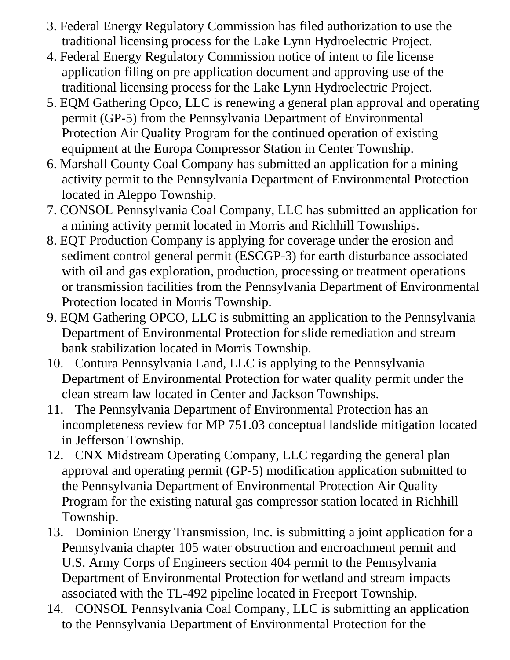- 3. Federal Energy Regulatory Commission has filed authorization to use the traditional licensing process for the Lake Lynn Hydroelectric Project.
- 4. Federal Energy Regulatory Commission notice of intent to file license application filing on pre application document and approving use of the traditional licensing process for the Lake Lynn Hydroelectric Project.
- 5. EQM Gathering Opco, LLC is renewing a general plan approval and operating permit (GP-5) from the Pennsylvania Department of Environmental Protection Air Quality Program for the continued operation of existing equipment at the Europa Compressor Station in Center Township.
- 6. Marshall County Coal Company has submitted an application for a mining activity permit to the Pennsylvania Department of Environmental Protection located in Aleppo Township.
- 7. CONSOL Pennsylvania Coal Company, LLC has submitted an application for a mining activity permit located in Morris and Richhill Townships.
- 8. EQT Production Company is applying for coverage under the erosion and sediment control general permit (ESCGP-3) for earth disturbance associated with oil and gas exploration, production, processing or treatment operations or transmission facilities from the Pennsylvania Department of Environmental Protection located in Morris Township.
- 9. EQM Gathering OPCO, LLC is submitting an application to the Pennsylvania Department of Environmental Protection for slide remediation and stream bank stabilization located in Morris Township.
- 10. Contura Pennsylvania Land, LLC is applying to the Pennsylvania Department of Environmental Protection for water quality permit under the clean stream law located in Center and Jackson Townships.
- 11. The Pennsylvania Department of Environmental Protection has an incompleteness review for MP 751.03 conceptual landslide mitigation located in Jefferson Township.
- 12. CNX Midstream Operating Company, LLC regarding the general plan approval and operating permit (GP-5) modification application submitted to the Pennsylvania Department of Environmental Protection Air Quality Program for the existing natural gas compressor station located in Richhill Township.
- 13. Dominion Energy Transmission, Inc. is submitting a joint application for a Pennsylvania chapter 105 water obstruction and encroachment permit and U.S. Army Corps of Engineers section 404 permit to the Pennsylvania Department of Environmental Protection for wetland and stream impacts associated with the TL-492 pipeline located in Freeport Township.
- 14. CONSOL Pennsylvania Coal Company, LLC is submitting an application to the Pennsylvania Department of Environmental Protection for the